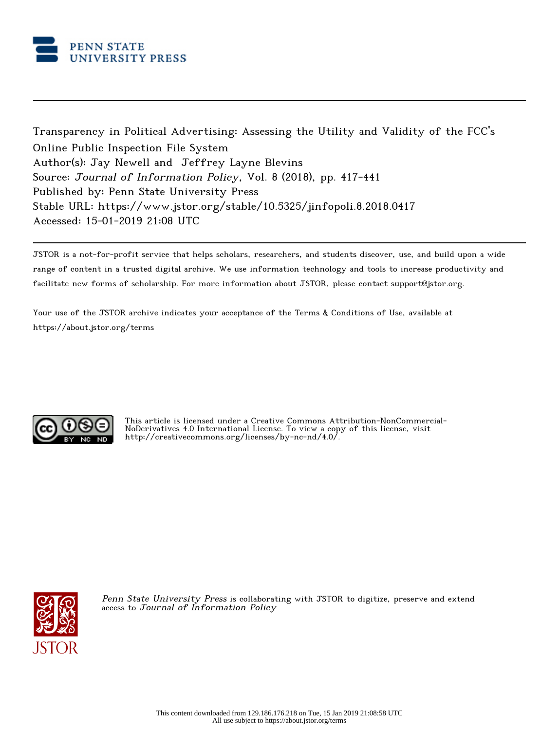

Transparency in Political Advertising: Assessing the Utility and Validity of the FCC's Online Public Inspection File System Author(s): Jay Newell and Jeffrey Layne Blevins Source: Journal of Information Policy, Vol. 8 (2018), pp. 417-441 Published by: Penn State University Press Stable URL: https://www.jstor.org/stable/10.5325/jinfopoli.8.2018.0417 Accessed: 15-01-2019 21:08 UTC

JSTOR is a not-for-profit service that helps scholars, researchers, and students discover, use, and build upon a wide range of content in a trusted digital archive. We use information technology and tools to increase productivity and facilitate new forms of scholarship. For more information about JSTOR, please contact support@jstor.org.

Your use of the JSTOR archive indicates your acceptance of the Terms & Conditions of Use, available at https://about.jstor.org/terms



This article is licensed under a Creative Commons Attribution-NonCommercial-NoDerivatives 4.0 International License. To view a copy of this license, visit http://creativecommons.org/licenses/by-nc-nd/4.0/.



Penn State University Press is collaborating with JSTOR to digitize, preserve and extend access to Journal of Information Policy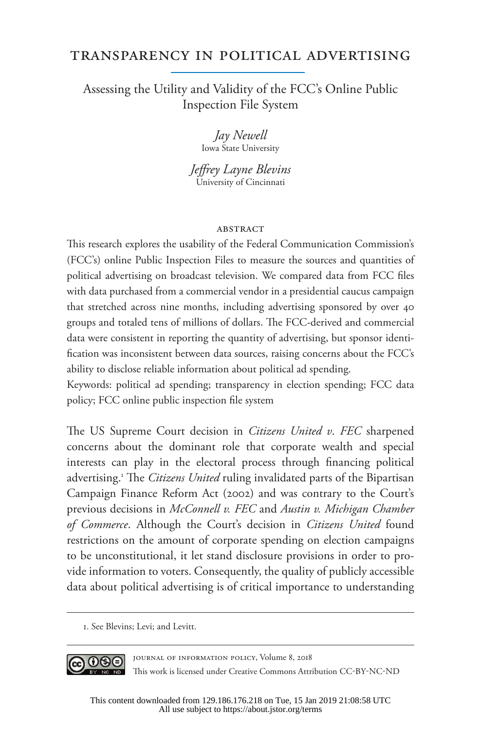# Transparency in Political Advertising

# Assessing the Utility and Validity of the FCC's Online Public Inspection File System

*Jay Newell*  Iowa State University

*Jeffrey Layne Blevins*  University of Cincinnati

#### ABSTRACT

This research explores the usability of the Federal Communication Commission's (FCC's) online Public Inspection Files to measure the sources and quantities of political advertising on broadcast television. We compared data from FCC files with data purchased from a commercial vendor in a presidential caucus campaign that stretched across nine months, including advertising sponsored by over 40 groups and totaled tens of millions of dollars. The FCC-derived and commercial data were consistent in reporting the quantity of advertising, but sponsor identification was inconsistent between data sources, raising concerns about the FCC's ability to disclose reliable information about political ad spending.

Keywords: political ad spending; transparency in election spending; FCC data policy; FCC online public inspection file system

The US Supreme Court decision in *Citizens United v*. *FEC* sharpened concerns about the dominant role that corporate wealth and special interests can play in the electoral process through financing political advertising.<sup>1</sup> The *Citizens United* ruling invalidated parts of the Bipartisan Campaign Finance Reform Act (2002) and was contrary to the Court's previous decisions in *McConnell v. FEC* and *Austin v. Michigan Chamber of Commerce*. Although the Court's decision in *Citizens United* found restrictions on the amount of corporate spending on election campaigns to be unconstitutional, it let stand disclosure provisions in order to provide information to voters. Consequently, the quality of publicly accessible data about political advertising is of critical importance to understanding

1. See Blevins; Levi; and Levitt.



Journal of Information Policy, Volume 8, 2018 This work is licensed under Creative Commons Attribution CC-BY-NC-ND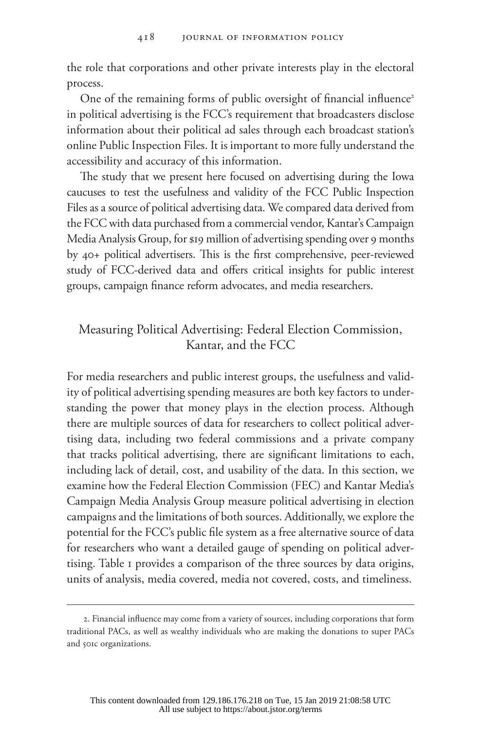the role that corporations and other private interests play in the electoral process.

One of the remaining forms of public oversight of financial influence<sup>2</sup> in political advertising is the FCC's requirement that broadcasters disclose information about their political ad sales through each broadcast station's online Public Inspection Files. It is important to more fully understand the accessibility and accuracy of this information.

The study that we present here focused on advertising during the Iowa caucuses to test the usefulness and validity of the FCC Public Inspection Files as a source of political advertising data. We compared data derived from the FCC with data purchased from a commercial vendor, Kantar's Campaign Media Analysis Group, for \$19 million of advertising spending over 9 months by 40+ political advertisers. This is the first comprehensive, peer-reviewed study of FCC-derived data and offers critical insights for public interest groups, campaign finance reform advocates, and media researchers.

## Measuring Political Advertising: Federal Election Commission, Kantar, and the FCC

For media researchers and public interest groups, the usefulness and validity of political advertising spending measures are both key factors to understanding the power that money plays in the election process. Although there are multiple sources of data for researchers to collect political advertising data, including two federal commissions and a private company that tracks political advertising, there are significant limitations to each, including lack of detail, cost, and usability of the data. In this section, we examine how the Federal Election Commission (FEC) and Kantar Media's Campaign Media Analysis Group measure political advertising in election campaigns and the limitations of both sources. Additionally, we explore the potential for the FCC's public file system as a free alternative source of data for researchers who want a detailed gauge of spending on political advertising. Table 1 provides a comparison of the three sources by data origins, units of analysis, media covered, media not covered, costs, and timeliness.

<sup>2.</sup> Financial influence may come from a variety of sources, including corporations that form traditional PACs, as well as wealthy individuals who are making the donations to super PACs and 501c organizations.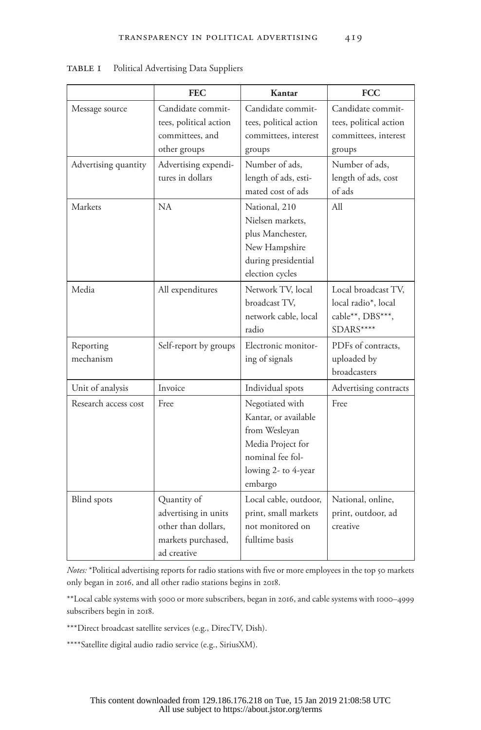|                        | <b>FEC</b>                                                                                      | Kantar                                                                                                                              | <b>FCC</b>                                                                    |
|------------------------|-------------------------------------------------------------------------------------------------|-------------------------------------------------------------------------------------------------------------------------------------|-------------------------------------------------------------------------------|
| Message source         | Candidate commit-<br>tees, political action<br>committees, and<br>other groups                  | Candidate commit-<br>tees, political action<br>committees, interest<br>groups                                                       | Candidate commit-<br>tees, political action<br>committees, interest<br>groups |
| Advertising quantity   | Advertising expendi-<br>tures in dollars                                                        | Number of ads,<br>length of ads, esti-<br>mated cost of ads                                                                         | Number of ads,<br>length of ads, cost<br>of ads                               |
| Markets                | <b>NA</b>                                                                                       | National, 210<br>Nielsen markets.<br>plus Manchester,<br>New Hampshire<br>during presidential<br>election cycles                    | All                                                                           |
| Media                  | All expenditures                                                                                | Network TV, local<br>broadcast TV,<br>network cable, local<br>radio                                                                 | Local broadcast TV,<br>local radio*, local<br>cable**, DBS***,<br>SDARS****   |
| Reporting<br>mechanism | Self-report by groups                                                                           | Electronic monitor-<br>ing of signals                                                                                               | PDFs of contracts,<br>uploaded by<br>broadcasters                             |
| Unit of analysis       | Invoice                                                                                         | Individual spots                                                                                                                    | Advertising contracts                                                         |
| Research access cost   | Free                                                                                            | Negotiated with<br>Kantar, or available<br>from Wesleyan<br>Media Project for<br>nominal fee fol-<br>lowing 2- to 4-year<br>embargo | Free                                                                          |
| <b>Blind</b> spots     | Quantity of<br>advertising in units<br>other than dollars,<br>markets purchased,<br>ad creative | Local cable, outdoor,<br>print, small markets<br>not monitored on<br>fulltime basis                                                 | National, online,<br>print, outdoor, ad<br>creative                           |

TABLE I Political Advertising Data Suppliers

*Notes:* \*Political advertising reports for radio stations with five or more employees in the top 50 markets only began in 2016, and all other radio stations begins in 2018.

\*\*Local cable systems with 5000 or more subscribers, began in 2016, and cable systems with 1000–4999 subscribers begin in 2018.

\*\*\*Direct broadcast satellite services (e.g., DirecTV, Dish).

\*\*\*\*Satellite digital audio radio service (e.g., SiriusXM).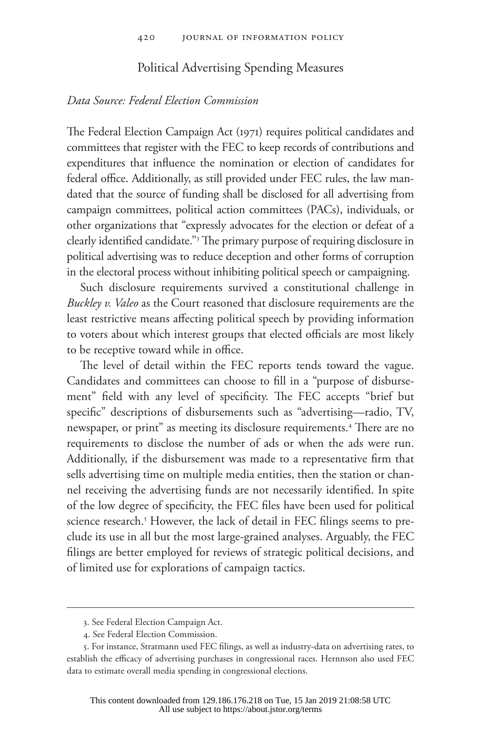### Political Advertising Spending Measures

#### *Data Source: Federal Election Commission*

The Federal Election Campaign Act (1971) requires political candidates and committees that register with the FEC to keep records of contributions and expenditures that influence the nomination or election of candidates for federal office. Additionally, as still provided under FEC rules, the law mandated that the source of funding shall be disclosed for all advertising from campaign committees, political action committees (PACs), individuals, or other organizations that "expressly advocates for the election or defeat of a clearly identified candidate."3 The primary purpose of requiring disclosure in political advertising was to reduce deception and other forms of corruption in the electoral process without inhibiting political speech or campaigning.

Such disclosure requirements survived a constitutional challenge in *Buckley v. Valeo* as the Court reasoned that disclosure requirements are the least restrictive means affecting political speech by providing information to voters about which interest groups that elected officials are most likely to be receptive toward while in office.

The level of detail within the FEC reports tends toward the vague. Candidates and committees can choose to fill in a "purpose of disbursement" field with any level of specificity. The FEC accepts "brief but specific" descriptions of disbursements such as "advertising—radio, TV, newspaper, or print" as meeting its disclosure requirements.4 There are no requirements to disclose the number of ads or when the ads were run. Additionally, if the disbursement was made to a representative firm that sells advertising time on multiple media entities, then the station or channel receiving the advertising funds are not necessarily identified. In spite of the low degree of specificity, the FEC files have been used for political science research.<sup>5</sup> However, the lack of detail in FEC filings seems to preclude its use in all but the most large-grained analyses. Arguably, the FEC filings are better employed for reviews of strategic political decisions, and of limited use for explorations of campaign tactics.

<sup>3.</sup> See Federal Election Campaign Act.

<sup>4.</sup> See Federal Election Commission.

<sup>5.</sup> For instance, Stratmann used FEC filings, as well as industry-data on advertising rates, to establish the efficacy of advertising purchases in congressional races. Hernnson also used FEC data to estimate overall media spending in congressional elections.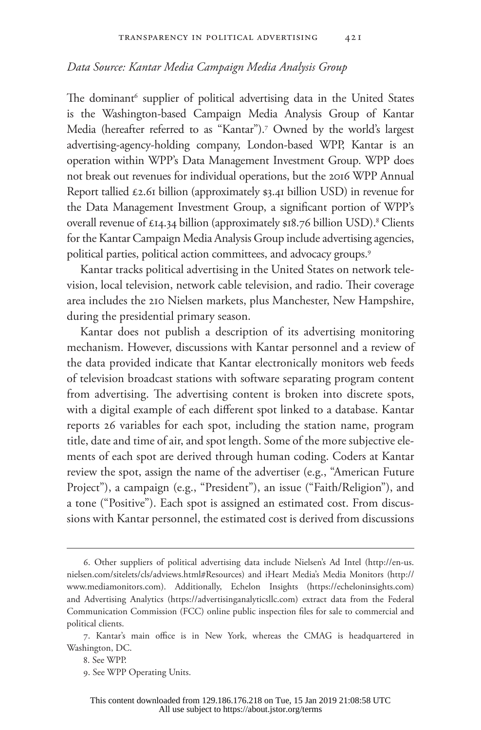#### *Data Source: Kantar Media Campaign Media Analysis Group*

The dominant<sup>6</sup> supplier of political advertising data in the United States is the Washington-based Campaign Media Analysis Group of Kantar Media (hereafter referred to as "Kantar").7 Owned by the world's largest advertising-agency-holding company, London-based WPP, Kantar is an operation within WPP's Data Management Investment Group. WPP does not break out revenues for individual operations, but the 2016 WPP Annual Report tallied  $\epsilon$ 2.61 billion (approximately \$3.41 billion USD) in revenue for the Data Management Investment Group, a significant portion of WPP's overall revenue of  $\epsilon$ 14.34 billion (approximately \$18.76 billion USD).<sup>8</sup> Clients for the Kantar Campaign Media Analysis Group include advertising agencies, political parties, political action committees, and advocacy groups.<sup>9</sup>

Kantar tracks political advertising in the United States on network television, local television, network cable television, and radio. Their coverage area includes the 210 Nielsen markets, plus Manchester, New Hampshire, during the presidential primary season.

Kantar does not publish a description of its advertising monitoring mechanism. However, discussions with Kantar personnel and a review of the data provided indicate that Kantar electronically monitors web feeds of television broadcast stations with software separating program content from advertising. The advertising content is broken into discrete spots, with a digital example of each different spot linked to a database. Kantar reports 26 variables for each spot, including the station name, program title, date and time of air, and spot length. Some of the more subjective elements of each spot are derived through human coding. Coders at Kantar review the spot, assign the name of the advertiser (e.g., "American Future Project"), a campaign (e.g., "President"), an issue ("Faith/Religion"), and a tone ("Positive"). Each spot is assigned an estimated cost. From discussions with Kantar personnel, the estimated cost is derived from discussions

<sup>6.</sup> Other suppliers of political advertising data include Nielsen's Ad Intel (http://en-us. nielsen.com/sitelets/cls/adviews.html#Resources) and iHeart Media's Media Monitors (http:// www.mediamonitors.com). Additionally, Echelon Insights (https://echeloninsights.com) and Advertising Analytics (https://advertisinganalyticsllc.com) extract data from the Federal Communication Commission (FCC) online public inspection files for sale to commercial and political clients.

<sup>7.</sup> Kantar's main office is in New York, whereas the CMAG is headquartered in Washington, DC.

<sup>8.</sup> See WPP.

<sup>9.</sup> See WPP Operating Units.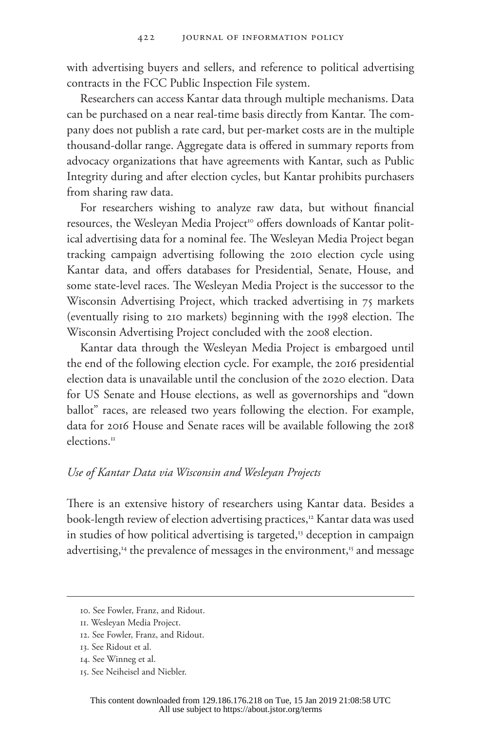with advertising buyers and sellers, and reference to political advertising contracts in the FCC Public Inspection File system.

Researchers can access Kantar data through multiple mechanisms. Data can be purchased on a near real-time basis directly from Kantar. The company does not publish a rate card, but per-market costs are in the multiple thousand-dollar range. Aggregate data is offered in summary reports from advocacy organizations that have agreements with Kantar, such as Public Integrity during and after election cycles, but Kantar prohibits purchasers from sharing raw data.

For researchers wishing to analyze raw data, but without financial resources, the Wesleyan Media Project<sup>10</sup> offers downloads of Kantar political advertising data for a nominal fee. The Wesleyan Media Project began tracking campaign advertising following the 2010 election cycle using Kantar data, and offers databases for Presidential, Senate, House, and some state-level races. The Wesleyan Media Project is the successor to the Wisconsin Advertising Project, which tracked advertising in 75 markets (eventually rising to 210 markets) beginning with the 1998 election. The Wisconsin Advertising Project concluded with the 2008 election.

Kantar data through the Wesleyan Media Project is embargoed until the end of the following election cycle. For example, the 2016 presidential election data is unavailable until the conclusion of the 2020 election. Data for US Senate and House elections, as well as governorships and "down ballot" races, are released two years following the election. For example, data for 2016 House and Senate races will be available following the 2018 elections.<sup>11</sup>

#### *Use of Kantar Data via Wisconsin and Wesleyan Projects*

There is an extensive history of researchers using Kantar data. Besides a book-length review of election advertising practices,<sup>12</sup> Kantar data was used in studies of how political advertising is targeted,<sup>13</sup> deception in campaign advertising,<sup>14</sup> the prevalence of messages in the environment,<sup>15</sup> and message

<sup>10.</sup> See Fowler, Franz, and Ridout.

<sup>11.</sup> Wesleyan Media Project.

<sup>12.</sup> See Fowler, Franz, and Ridout.

<sup>13.</sup> See Ridout et al.

<sup>14.</sup> See Winneg et al.

<sup>15.</sup> See Neiheisel and Niebler.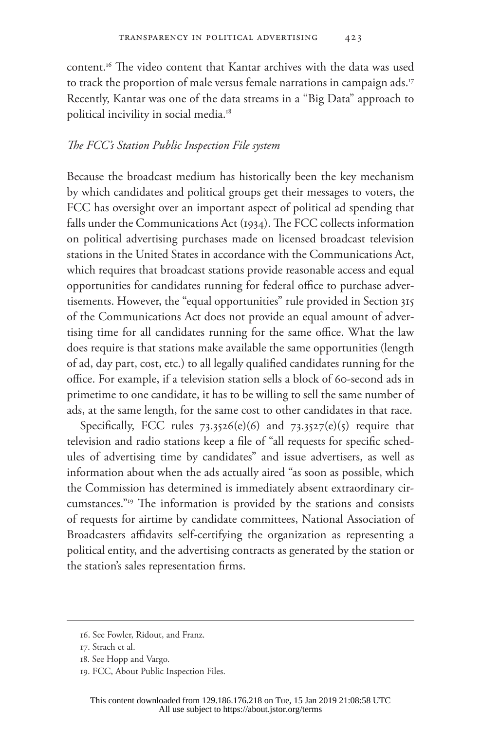content.16 The video content that Kantar archives with the data was used to track the proportion of male versus female narrations in campaign ads.<sup>17</sup> Recently, Kantar was one of the data streams in a "Big Data" approach to political incivility in social media.18

#### *The FCC's Station Public Inspection File system*

Because the broadcast medium has historically been the key mechanism by which candidates and political groups get their messages to voters, the FCC has oversight over an important aspect of political ad spending that falls under the Communications Act (1934). The FCC collects information on political advertising purchases made on licensed broadcast television stations in the United States in accordance with the Communications Act, which requires that broadcast stations provide reasonable access and equal opportunities for candidates running for federal office to purchase advertisements. However, the "equal opportunities" rule provided in Section 315 of the Communications Act does not provide an equal amount of advertising time for all candidates running for the same office. What the law does require is that stations make available the same opportunities (length of ad, day part, cost, etc.) to all legally qualified candidates running for the office. For example, if a television station sells a block of 60-second ads in primetime to one candidate, it has to be willing to sell the same number of ads, at the same length, for the same cost to other candidates in that race.

Specifically, FCC rules  $73.3526(e)(6)$  and  $73.3527(e)(5)$  require that television and radio stations keep a file of "all requests for specific schedules of advertising time by candidates" and issue advertisers, as well as information about when the ads actually aired "as soon as possible, which the Commission has determined is immediately absent extraordinary circumstances."19 The information is provided by the stations and consists of requests for airtime by candidate committees, National Association of Broadcasters affidavits self-certifying the organization as representing a political entity, and the advertising contracts as generated by the station or the station's sales representation firms.

<sup>16.</sup> See Fowler, Ridout, and Franz.

<sup>17.</sup> Strach et al.

<sup>18.</sup> See Hopp and Vargo.

<sup>19.</sup> FCC, About Public Inspection Files.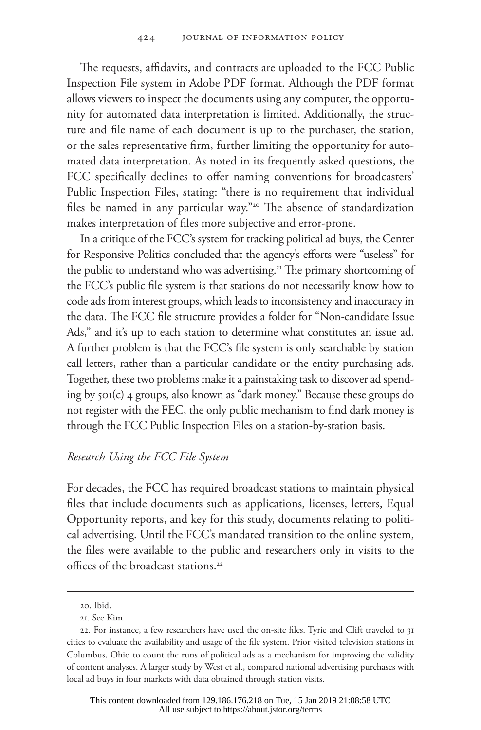The requests, affidavits, and contracts are uploaded to the FCC Public Inspection File system in Adobe PDF format. Although the PDF format allows viewers to inspect the documents using any computer, the opportunity for automated data interpretation is limited. Additionally, the structure and file name of each document is up to the purchaser, the station, or the sales representative firm, further limiting the opportunity for automated data interpretation. As noted in its frequently asked questions, the FCC specifically declines to offer naming conventions for broadcasters' Public Inspection Files, stating: "there is no requirement that individual files be named in any particular way."<sup>20</sup> The absence of standardization makes interpretation of files more subjective and error-prone.

In a critique of the FCC's system for tracking political ad buys, the Center for Responsive Politics concluded that the agency's efforts were "useless" for the public to understand who was advertising.<sup>21</sup> The primary shortcoming of the FCC's public file system is that stations do not necessarily know how to code ads from interest groups, which leads to inconsistency and inaccuracy in the data. The FCC file structure provides a folder for "Non-candidate Issue Ads," and it's up to each station to determine what constitutes an issue ad. A further problem is that the FCC's file system is only searchable by station call letters, rather than a particular candidate or the entity purchasing ads. Together, these two problems make it a painstaking task to discover ad spending by 501(c) 4 groups, also known as "dark money." Because these groups do not register with the FEC, the only public mechanism to find dark money is through the FCC Public Inspection Files on a station-by-station basis.

## *Research Using the FCC File System*

For decades, the FCC has required broadcast stations to maintain physical files that include documents such as applications, licenses, letters, Equal Opportunity reports, and key for this study, documents relating to political advertising. Until the FCC's mandated transition to the online system, the files were available to the public and researchers only in visits to the offices of the broadcast stations.<sup>22</sup>

<sup>20.</sup> Ibid.

<sup>21.</sup> See Kim.

<sup>22.</sup> For instance, a few researchers have used the on-site files. Tyrie and Clift traveled to 31 cities to evaluate the availability and usage of the file system. Prior visited television stations in Columbus, Ohio to count the runs of political ads as a mechanism for improving the validity of content analyses. A larger study by West et al., compared national advertising purchases with local ad buys in four markets with data obtained through station visits.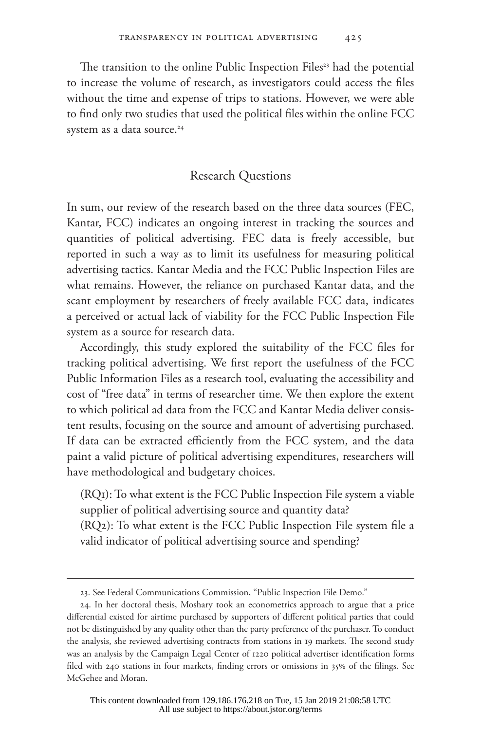The transition to the online Public Inspection Files<sup>23</sup> had the potential to increase the volume of research, as investigators could access the files without the time and expense of trips to stations. However, we were able to find only two studies that used the political files within the online FCC system as a data source.<sup>24</sup>

### Research Questions

In sum, our review of the research based on the three data sources (FEC, Kantar, FCC) indicates an ongoing interest in tracking the sources and quantities of political advertising. FEC data is freely accessible, but reported in such a way as to limit its usefulness for measuring political advertising tactics. Kantar Media and the FCC Public Inspection Files are what remains. However, the reliance on purchased Kantar data, and the scant employment by researchers of freely available FCC data, indicates a perceived or actual lack of viability for the FCC Public Inspection File system as a source for research data.

Accordingly, this study explored the suitability of the FCC files for tracking political advertising. We first report the usefulness of the FCC Public Information Files as a research tool, evaluating the accessibility and cost of "free data" in terms of researcher time. We then explore the extent to which political ad data from the FCC and Kantar Media deliver consistent results, focusing on the source and amount of advertising purchased. If data can be extracted efficiently from the FCC system, and the data paint a valid picture of political advertising expenditures, researchers will have methodological and budgetary choices.

(RQ1): To what extent is the FCC Public Inspection File system a viable supplier of political advertising source and quantity data?

(RQ2): To what extent is the FCC Public Inspection File system file a valid indicator of political advertising source and spending?

<sup>23.</sup> See Federal Communications Commission, "Public Inspection File Demo."

<sup>24.</sup> In her doctoral thesis, Moshary took an econometrics approach to argue that a price differential existed for airtime purchased by supporters of different political parties that could not be distinguished by any quality other than the party preference of the purchaser. To conduct the analysis, she reviewed advertising contracts from stations in 19 markets. The second study was an analysis by the Campaign Legal Center of 1220 political advertiser identification forms filed with 240 stations in four markets, finding errors or omissions in 35% of the filings. See McGehee and Moran.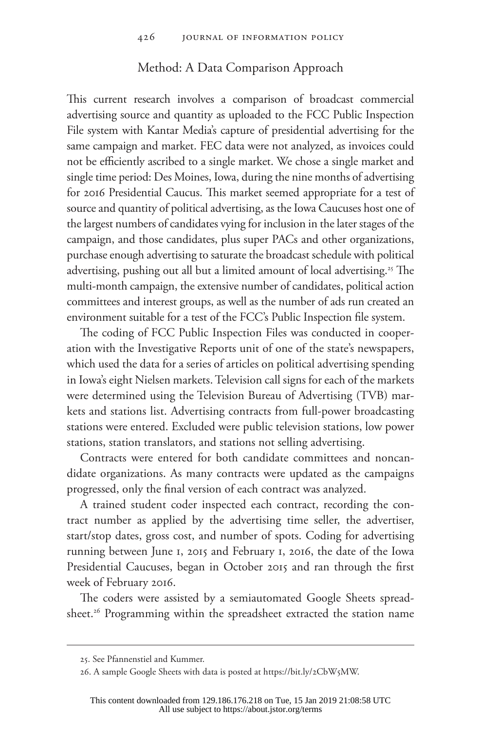### Method: A Data Comparison Approach

This current research involves a comparison of broadcast commercial advertising source and quantity as uploaded to the FCC Public Inspection File system with Kantar Media's capture of presidential advertising for the same campaign and market. FEC data were not analyzed, as invoices could not be efficiently ascribed to a single market. We chose a single market and single time period: Des Moines, Iowa, during the nine months of advertising for 2016 Presidential Caucus. This market seemed appropriate for a test of source and quantity of political advertising, as the Iowa Caucuses host one of the largest numbers of candidates vying for inclusion in the later stages of the campaign, and those candidates, plus super PACs and other organizations, purchase enough advertising to saturate the broadcast schedule with political advertising, pushing out all but a limited amount of local advertising.<sup>25</sup> The multi-month campaign, the extensive number of candidates, political action committees and interest groups, as well as the number of ads run created an environment suitable for a test of the FCC's Public Inspection file system.

The coding of FCC Public Inspection Files was conducted in cooperation with the Investigative Reports unit of one of the state's newspapers, which used the data for a series of articles on political advertising spending in Iowa's eight Nielsen markets. Television call signs for each of the markets were determined using the Television Bureau of Advertising (TVB) markets and stations list. Advertising contracts from full-power broadcasting stations were entered. Excluded were public television stations, low power stations, station translators, and stations not selling advertising.

Contracts were entered for both candidate committees and noncandidate organizations. As many contracts were updated as the campaigns progressed, only the final version of each contract was analyzed.

A trained student coder inspected each contract, recording the contract number as applied by the advertising time seller, the advertiser, start/stop dates, gross cost, and number of spots. Coding for advertising running between June 1, 2015 and February 1, 2016, the date of the Iowa Presidential Caucuses, began in October 2015 and ran through the first week of February 2016.

The coders were assisted by a semiautomated Google Sheets spreadsheet.<sup>26</sup> Programming within the spreadsheet extracted the station name

<sup>25.</sup> See Pfannenstiel and Kummer.

<sup>26.</sup> A sample Google Sheets with data is posted at https://bit.ly/2CbW5MW.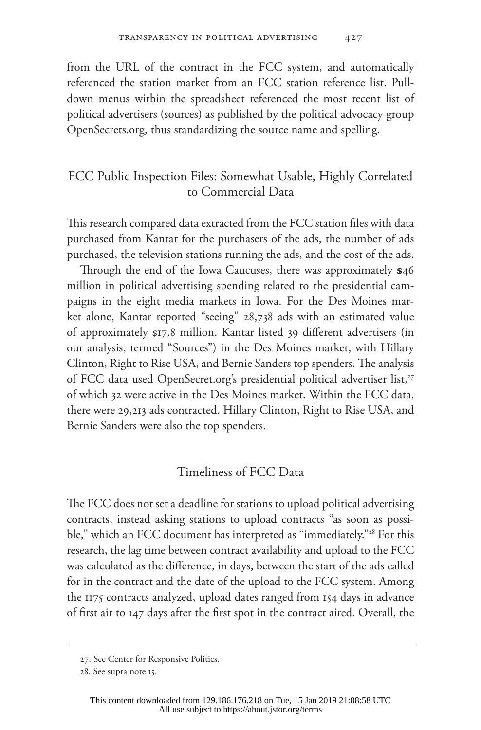from the URL of the contract in the FCC system, and automatically referenced the station market from an FCC station reference list. Pulldown menus within the spreadsheet referenced the most recent list of political advertisers (sources) as published by the political advocacy group [OpenSecrets.org,](www.OpenSecrets.org) thus standardizing the source name and spelling.

## FCC Public Inspection Files: Somewhat Usable, Highly Correlated to Commercial Data

This research compared data extracted from the FCC station files with data purchased from Kantar for the purchasers of the ads, the number of ads purchased, the television stations running the ads, and the cost of the ads.

Through the end of the Iowa Caucuses, there was approximately **\$**46 million in political advertising spending related to the presidential campaigns in the eight media markets in Iowa. For the Des Moines market alone, Kantar reported "seeing" 28,738 ads with an estimated value of approximately \$17.8 million. Kantar listed 39 different advertisers (in our analysis, termed "Sources") in the Des Moines market, with Hillary Clinton, Right to Rise USA, and Bernie Sanders top spenders. The analysis of FCC data used [OpenSecret.org'](www.OpenSecrets.org)s presidential political advertiser list,<sup>27</sup> of which 32 were active in the Des Moines market. Within the FCC data, there were 29,213 ads contracted. Hillary Clinton, Right to Rise USA, and Bernie Sanders were also the top spenders.

## Timeliness of FCC Data

The FCC does not set a deadline for stations to upload political advertising contracts, instead asking stations to upload contracts "as soon as possible," which an FCC document has interpreted as "immediately."<sup>28</sup> For this research, the lag time between contract availability and upload to the FCC was calculated as the difference, in days, between the start of the ads called for in the contract and the date of the upload to the FCC system. Among the 1175 contracts analyzed, upload dates ranged from 154 days in advance of first air to 147 days after the first spot in the contract aired. Overall, the

<sup>27.</sup> See Center for Responsive Politics.

<sup>28.</sup> See supra note 15.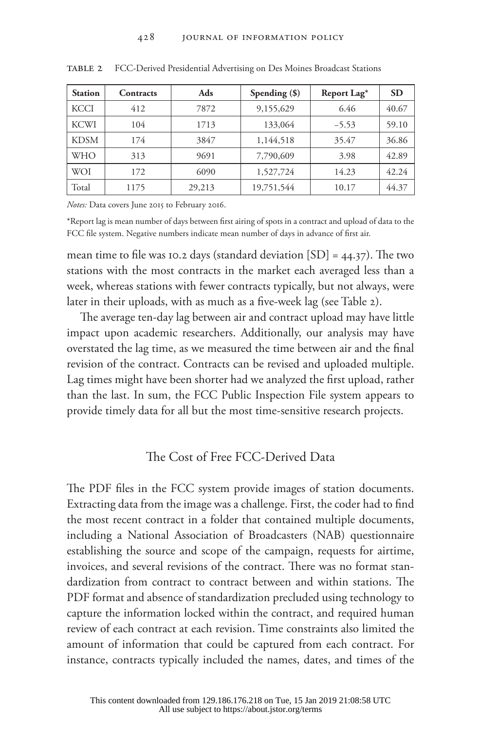| <b>Station</b> | Contracts | Ads    | Spending $(\$)$ | Report Lag <sup>*</sup> | <b>SD</b> |
|----------------|-----------|--------|-----------------|-------------------------|-----------|
| <b>KCCI</b>    | 412       | 7872   | 9,155,629       | 6.46                    | 40.67     |
| <b>KCWI</b>    | 104       | 1713   | 133,064         | $-5.53$                 | 59.10     |
| <b>KDSM</b>    | 174       | 3847   | 1,144,518       | 35.47                   | 36.86     |
| WHO            | 313       | 9691   | 7,790,609       | 3.98                    | 42.89     |
| WOI            | 172       | 6090   | 1,527,724       | 14.23                   | 42.24     |
| Total          | 1175      | 29,213 | 19,751,544      | 10.17                   | 44.37     |

table 2 FCC-Derived Presidential Advertising on Des Moines Broadcast Stations

*Notes:* Data covers June 2015 to February 2016.

\*Report lag is mean number of days between first airing of spots in a contract and upload of data to the FCC file system. Negative numbers indicate mean number of days in advance of first air.

mean time to file was 10.2 days (standard deviation  $[SD] = 44.37$ ). The two stations with the most contracts in the market each averaged less than a week, whereas stations with fewer contracts typically, but not always, were later in their uploads, with as much as a five-week lag (see Table 2).

The average ten-day lag between air and contract upload may have little impact upon academic researchers. Additionally, our analysis may have overstated the lag time, as we measured the time between air and the final revision of the contract. Contracts can be revised and uploaded multiple. Lag times might have been shorter had we analyzed the first upload, rather than the last. In sum, the FCC Public Inspection File system appears to provide timely data for all but the most time-sensitive research projects.

## The Cost of Free FCC-Derived Data

The PDF files in the FCC system provide images of station documents. Extracting data from the image was a challenge. First, the coder had to find the most recent contract in a folder that contained multiple documents, including a National Association of Broadcasters (NAB) questionnaire establishing the source and scope of the campaign, requests for airtime, invoices, and several revisions of the contract. There was no format standardization from contract to contract between and within stations. The PDF format and absence of standardization precluded using technology to capture the information locked within the contract, and required human review of each contract at each revision. Time constraints also limited the amount of information that could be captured from each contract. For instance, contracts typically included the names, dates, and times of the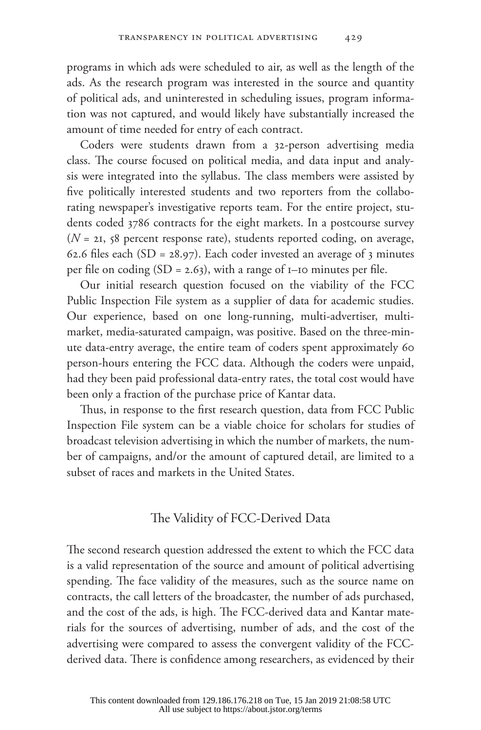programs in which ads were scheduled to air, as well as the length of the ads. As the research program was interested in the source and quantity of political ads, and uninterested in scheduling issues, program information was not captured, and would likely have substantially increased the amount of time needed for entry of each contract.

Coders were students drawn from a 32-person advertising media class. The course focused on political media, and data input and analysis were integrated into the syllabus. The class members were assisted by five politically interested students and two reporters from the collaborating newspaper's investigative reports team. For the entire project, students coded 3786 contracts for the eight markets. In a postcourse survey (*N* = 21, 58 percent response rate), students reported coding, on average, 62.6 files each (SD =  $28.97$ ). Each coder invested an average of 3 minutes per file on coding  $(SD = 2.63)$ , with a range of  $I$ -IO minutes per file.

Our initial research question focused on the viability of the FCC Public Inspection File system as a supplier of data for academic studies. Our experience, based on one long-running, multi-advertiser, multimarket, media-saturated campaign, was positive. Based on the three-minute data-entry average, the entire team of coders spent approximately 60 person-hours entering the FCC data. Although the coders were unpaid, had they been paid professional data-entry rates, the total cost would have been only a fraction of the purchase price of Kantar data.

Thus, in response to the first research question, data from FCC Public Inspection File system can be a viable choice for scholars for studies of broadcast television advertising in which the number of markets, the number of campaigns, and/or the amount of captured detail, are limited to a subset of races and markets in the United States.

## The Validity of FCC-Derived Data

The second research question addressed the extent to which the FCC data is a valid representation of the source and amount of political advertising spending. The face validity of the measures, such as the source name on contracts, the call letters of the broadcaster, the number of ads purchased, and the cost of the ads, is high. The FCC-derived data and Kantar materials for the sources of advertising, number of ads, and the cost of the advertising were compared to assess the convergent validity of the FCCderived data. There is confidence among researchers, as evidenced by their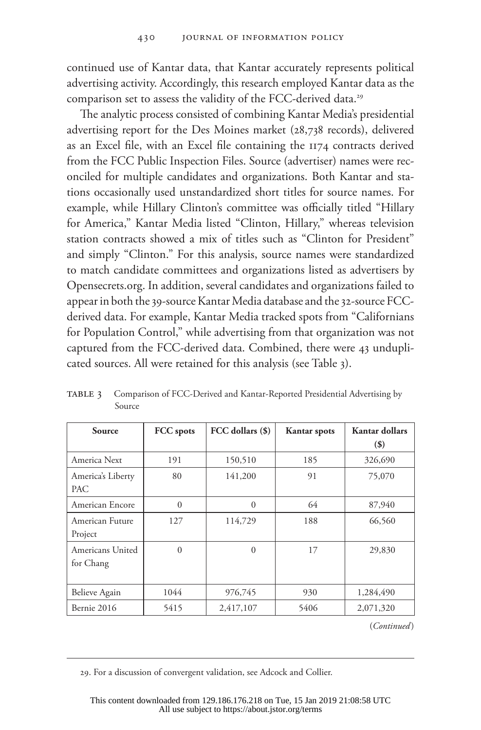continued use of Kantar data, that Kantar accurately represents political advertising activity. Accordingly, this research employed Kantar data as the comparison set to assess the validity of the FCC-derived data.<sup>29</sup>

The analytic process consisted of combining Kantar Media's presidential advertising report for the Des Moines market (28,738 records), delivered as an Excel file, with an Excel file containing the 1174 contracts derived from the FCC Public Inspection Files. Source (advertiser) names were reconciled for multiple candidates and organizations. Both Kantar and stations occasionally used unstandardized short titles for source names. For example, while Hillary Clinton's committee was officially titled "Hillary for America," Kantar Media listed "Clinton, Hillary," whereas television station contracts showed a mix of titles such as "Clinton for President" and simply "Clinton." For this analysis, source names were standardized to match candidate committees and organizations listed as advertisers by [Opensecrets.org.](www.OpenSecrets.org) In addition, several candidates and organizations failed to appear in both the 39-source Kantar Media database and the 32-source FCCderived data. For example, Kantar Media tracked spots from "Californians for Population Control," while advertising from that organization was not captured from the FCC-derived data. Combined, there were 43 unduplicated sources. All were retained for this analysis (see Table 3).

| Source                        | FCC spots | FCC dollars (\$) | <b>Kantar</b> spots | Kantar dollars<br>$($ \$) |
|-------------------------------|-----------|------------------|---------------------|---------------------------|
| America Next                  | 191       | 150,510          | 185                 | 326,690                   |
| America's Liberty<br>PAC      | 80        | 141,200          | 91                  | 75,070                    |
| American Encore               | $\Omega$  | $\Omega$         | 64                  | 87,940                    |
| American Future<br>Project    | 127       | 114,729          | 188                 | 66,560                    |
| Americans United<br>for Chang | $\theta$  | $\theta$         | 17                  | 29,830                    |
| Believe Again                 | 1044      | 976,745          | 930                 | 1,284,490                 |
| Bernie 2016                   | 5415      | 2,417,107        | 5406                | 2,071,320                 |

TABLE 3 Comparison of FCC-Derived and Kantar-Reported Presidential Advertising by Source

(*Continued* )

29. For a discussion of convergent validation, see Adcock and Collier.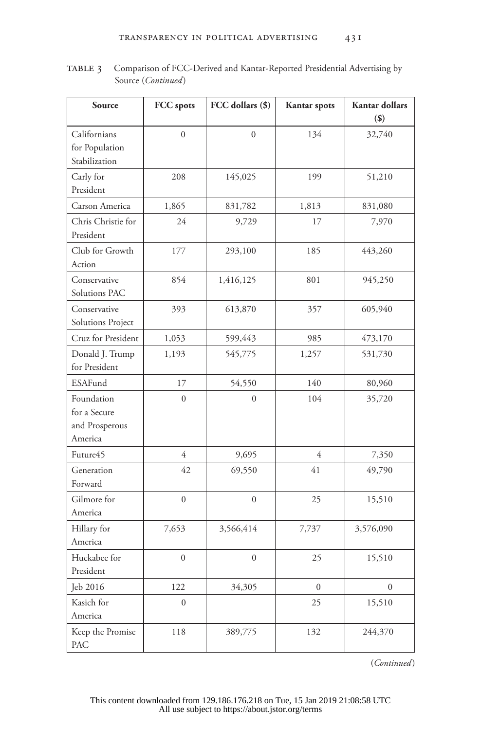| Source                                                  | FCC spots        | FCC dollars (\$) | <b>Kantar</b> spots | Kantar dollars<br>$($ \$) |
|---------------------------------------------------------|------------------|------------------|---------------------|---------------------------|
| Californians<br>for Population<br>Stabilization         | $\theta$         | $\theta$         | 134                 | 32,740                    |
| Carly for<br>President                                  | 208              | 145,025          | 199                 | 51,210                    |
| Carson America                                          | 1,865            | 831,782          | 1,813               | 831,080                   |
| Chris Christie for<br>President                         | 24               | 9,729            | 17                  | 7,970                     |
| Club for Growth<br>Action                               | 177              | 293,100          | 185                 | 443,260                   |
| Conservative<br>Solutions PAC                           | 854              | 1,416,125        | 801                 | 945,250                   |
| Conservative<br>Solutions Project                       | 393              | 613,870          | 357                 | 605,940                   |
| Cruz for President                                      | 1,053            | 599,443          | 985                 | 473,170                   |
| Donald J. Trump<br>for President                        | 1,193            | 545,775          | 1,257               | 531,730                   |
| <b>ESAFund</b>                                          | 17               | 54,550           | 140                 | 80,960                    |
| Foundation<br>for a Secure<br>and Prosperous<br>America | $\overline{0}$   | $\theta$         | 104                 | 35,720                    |
| Future45                                                | $\overline{4}$   | 9,695            | 4                   | 7,350                     |
| Generation<br>Forward                                   | 42               | 69,550           | 41                  | 49,790                    |
| Gilmore for<br>America                                  | $\overline{0}$   | $\overline{0}$   | 25                  | 15,510                    |
| Hillary for<br>America                                  | 7,653            | 3,566,414        | 7,737               | 3,576,090                 |
| Huckabee for<br>President                               | $\boldsymbol{0}$ | $\boldsymbol{0}$ | 25                  | 15,510                    |
| Jeb 2016                                                | 122              | 34,305           | $\mathbf{0}$        | $\Omega$                  |
| Kasich for<br>America                                   | $\overline{0}$   |                  | 25                  | 15,510                    |
| Keep the Promise<br>PAC                                 | 118              | 389,775          | 132                 | 244,370                   |

table 3 Comparison of FCC-Derived and Kantar-Reported Presidential Advertising by Source (*Continued*)

(*Continued* )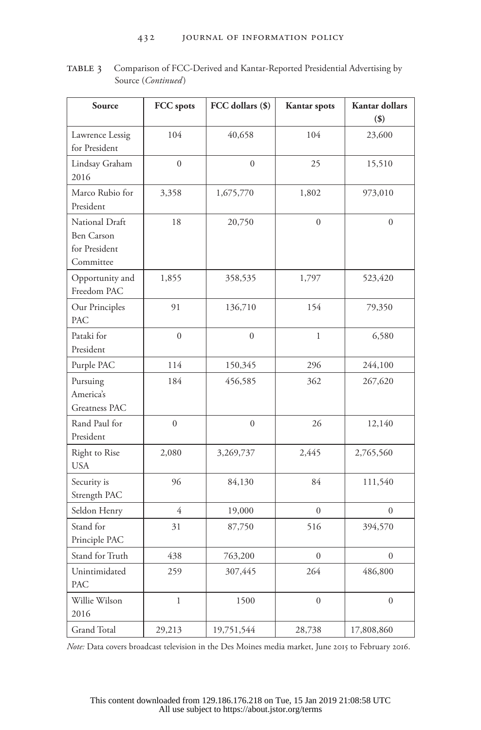#### 432 JOURNAL OF INFORMATION POLICY

TABLE 3 Comparison of FCC-Derived and Kantar-Reported Presidential Advertising by Source (*Continued*)

| Source                                                            | FCC spots        | FCC dollars (\$) | <b>Kantar</b> spots | Kantar dollars   |
|-------------------------------------------------------------------|------------------|------------------|---------------------|------------------|
|                                                                   |                  |                  |                     | $($ \$)          |
| Lawrence Lessig<br>for President                                  | 104              | 40,658           | 104                 | 23,600           |
| Lindsay Graham<br>2016                                            | $\overline{0}$   | $\overline{0}$   | 25                  | 15,510           |
| Marco Rubio for<br>President                                      | 3,358            | 1,675,770        | 1,802               | 973,010          |
| National Draft<br><b>Ben Carson</b><br>for President<br>Committee | 18               | 20,750           | $\boldsymbol{0}$    | $\theta$         |
| Opportunity and<br>Freedom PAC                                    | 1,855            | 358,535          | 1,797               | 523,420          |
| Our Principles<br>PAC                                             | 91               | 136,710          | 154                 | 79,350           |
| Pataki for<br>President                                           | $\boldsymbol{0}$ | $\overline{0}$   | $\mathbf{1}$        | 6,580            |
| Purple PAC                                                        | 114              | 150,345          | 296                 | 244,100          |
| Pursuing<br>America's<br><b>Greatness PAC</b>                     | 184              | 456,585          | 362                 | 267,620          |
| Rand Paul for<br>President                                        | $\overline{0}$   | $\overline{0}$   | 26                  | 12,140           |
| Right to Rise<br><b>USA</b>                                       | 2,080            | 3,269,737        | 2,445               | 2,765,560        |
| Security is<br>Strength PAC                                       | 96               | 84,130           | 84                  | 111,540          |
| Seldon Henry                                                      | $\overline{4}$   | 19,000           | $\theta$            | $\Omega$         |
| Stand for<br>Principle PAC                                        | 31               | 87,750           | 516                 | 394,570          |
| Stand for Truth                                                   | 438              | 763,200          | $\overline{0}$      | $\overline{0}$   |
| Unintimidated<br>PAC                                              | 259              | 307,445          | 264                 | 486,800          |
| Willie Wilson<br>2016                                             | $\mathbf{1}$     | 1500             | $\boldsymbol{0}$    | $\boldsymbol{0}$ |
| <b>Grand Total</b>                                                | 29,213           | 19,751,544       | 28,738              | 17,808,860       |

*Note:* Data covers broadcast television in the Des Moines media market, June 2015 to February 2016.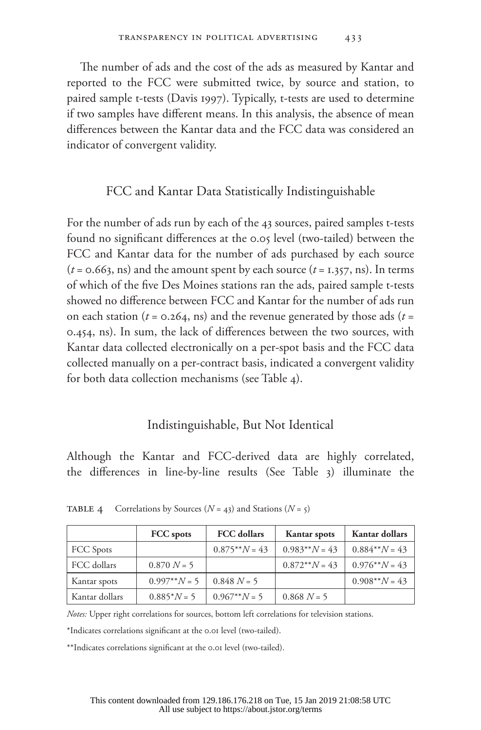The number of ads and the cost of the ads as measured by Kantar and reported to the FCC were submitted twice, by source and station, to paired sample t-tests (Davis 1997). Typically, t-tests are used to determine if two samples have different means. In this analysis, the absence of mean differences between the Kantar data and the FCC data was considered an indicator of convergent validity.

### FCC and Kantar Data Statistically Indistinguishable

For the number of ads run by each of the 43 sources, paired samples t-tests found no significant differences at the 0.05 level (two-tailed) between the FCC and Kantar data for the number of ads purchased by each source  $(t = 0.663, \text{ns})$  and the amount spent by each source  $(t = 1.357, \text{ns})$ . In terms of which of the five Des Moines stations ran the ads, paired sample t-tests showed no difference between FCC and Kantar for the number of ads run on each station ( $t = 0.264$ , ns) and the revenue generated by those ads ( $t =$ 0.454, ns). In sum, the lack of differences between the two sources, with Kantar data collected electronically on a per-spot basis and the FCC data collected manually on a per-contract basis, indicated a convergent validity for both data collection mechanisms (see Table 4).

### Indistinguishable, But Not Identical

Although the Kantar and FCC-derived data are highly correlated, the differences in line-by-line results (See Table 3) illuminate the

|                  | FCC spots      | <b>FCC</b> dollars | Kantar spots    | <b>Kantar dollars</b> |
|------------------|----------------|--------------------|-----------------|-----------------------|
| <b>FCC</b> Spots |                | $0.875**N = 43$    | $0.983**N = 43$ | $0.884**N = 43$       |
| FCC dollars      | $0.870 N = 5$  |                    | $0.872**N = 43$ | $0.976**N = 43$       |
| Kantar spots     | $0.997**N = 5$ | $0.848 N = 5$      |                 | $0.908**N = 43$       |
| Kantar dollars   | $0.885^*N = 5$ | $0.967**N = 5$     | $0.868 N = 5$   |                       |

**TABLE 4** Correlations by Sources ( $N = 43$ ) and Stations ( $N = 5$ )

*Notes:* Upper right correlations for sources, bottom left correlations for television stations.

\*Indicates correlations significant at the 0.01 level (two-tailed).

\*\*Indicates correlations significant at the 0.01 level (two-tailed).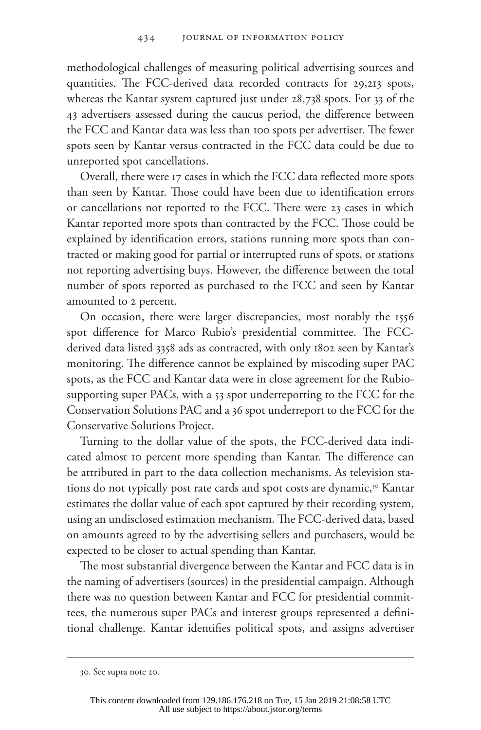methodological challenges of measuring political advertising sources and quantities. The FCC-derived data recorded contracts for 29,213 spots, whereas the Kantar system captured just under 28,738 spots. For 33 of the 43 advertisers assessed during the caucus period, the difference between the FCC and Kantar data was less than 100 spots per advertiser. The fewer spots seen by Kantar versus contracted in the FCC data could be due to unreported spot cancellations.

Overall, there were 17 cases in which the FCC data reflected more spots than seen by Kantar. Those could have been due to identification errors or cancellations not reported to the FCC. There were 23 cases in which Kantar reported more spots than contracted by the FCC. Those could be explained by identification errors, stations running more spots than contracted or making good for partial or interrupted runs of spots, or stations not reporting advertising buys. However, the difference between the total number of spots reported as purchased to the FCC and seen by Kantar amounted to 2 percent.

On occasion, there were larger discrepancies, most notably the 1556 spot difference for Marco Rubio's presidential committee. The FCCderived data listed 3358 ads as contracted, with only 1802 seen by Kantar's monitoring. The difference cannot be explained by miscoding super PAC spots, as the FCC and Kantar data were in close agreement for the Rubiosupporting super PACs, with a 53 spot underreporting to the FCC for the Conservation Solutions PAC and a 36 spot underreport to the FCC for the Conservative Solutions Project.

Turning to the dollar value of the spots, the FCC-derived data indicated almost 10 percent more spending than Kantar. The difference can be attributed in part to the data collection mechanisms. As television stations do not typically post rate cards and spot costs are dynamic,<sup>30</sup> Kantar estimates the dollar value of each spot captured by their recording system, using an undisclosed estimation mechanism. The FCC-derived data, based on amounts agreed to by the advertising sellers and purchasers, would be expected to be closer to actual spending than Kantar.

The most substantial divergence between the Kantar and FCC data is in the naming of advertisers (sources) in the presidential campaign. Although there was no question between Kantar and FCC for presidential committees, the numerous super PACs and interest groups represented a definitional challenge. Kantar identifies political spots, and assigns advertiser

<sup>30.</sup> See supra note 20.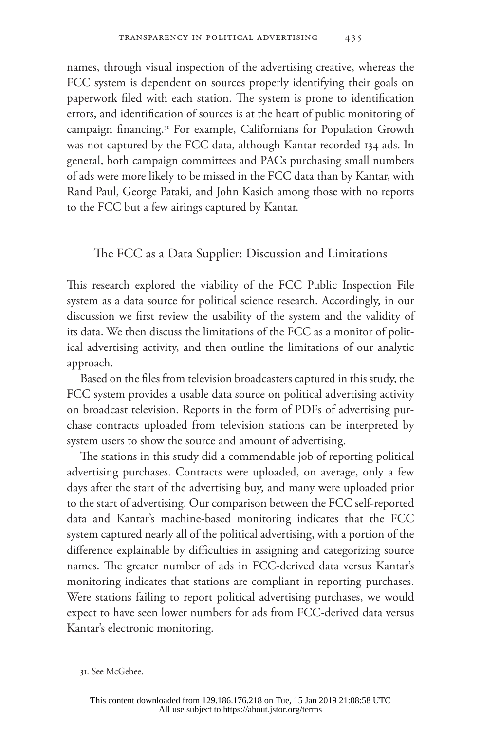names, through visual inspection of the advertising creative, whereas the FCC system is dependent on sources properly identifying their goals on paperwork filed with each station. The system is prone to identification errors, and identification of sources is at the heart of public monitoring of campaign financing.<sup>31</sup> For example, Californians for Population Growth was not captured by the FCC data, although Kantar recorded 134 ads. In general, both campaign committees and PACs purchasing small numbers of ads were more likely to be missed in the FCC data than by Kantar, with Rand Paul, George Pataki, and John Kasich among those with no reports to the FCC but a few airings captured by Kantar.

## The FCC as a Data Supplier: Discussion and Limitations

This research explored the viability of the FCC Public Inspection File system as a data source for political science research. Accordingly, in our discussion we first review the usability of the system and the validity of its data. We then discuss the limitations of the FCC as a monitor of political advertising activity, and then outline the limitations of our analytic approach.

Based on the files from television broadcasters captured in this study, the FCC system provides a usable data source on political advertising activity on broadcast television. Reports in the form of PDFs of advertising purchase contracts uploaded from television stations can be interpreted by system users to show the source and amount of advertising.

The stations in this study did a commendable job of reporting political advertising purchases. Contracts were uploaded, on average, only a few days after the start of the advertising buy, and many were uploaded prior to the start of advertising. Our comparison between the FCC self-reported data and Kantar's machine-based monitoring indicates that the FCC system captured nearly all of the political advertising, with a portion of the difference explainable by difficulties in assigning and categorizing source names. The greater number of ads in FCC-derived data versus Kantar's monitoring indicates that stations are compliant in reporting purchases. Were stations failing to report political advertising purchases, we would expect to have seen lower numbers for ads from FCC-derived data versus Kantar's electronic monitoring.

<sup>31.</sup> See McGehee.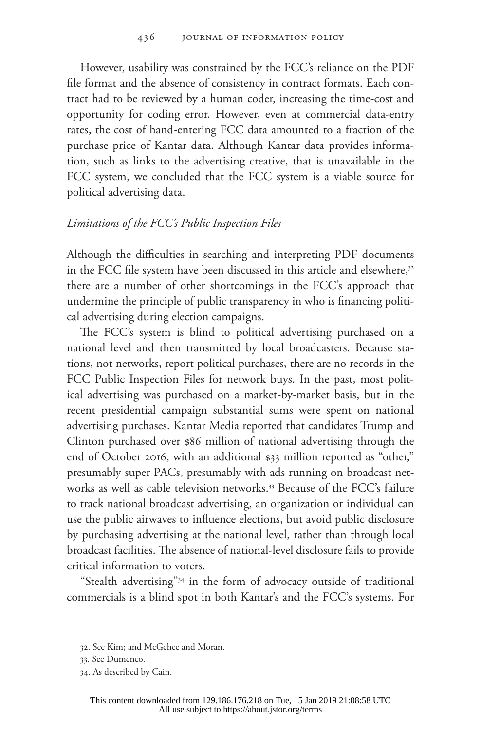However, usability was constrained by the FCC's reliance on the PDF file format and the absence of consistency in contract formats. Each contract had to be reviewed by a human coder, increasing the time-cost and opportunity for coding error. However, even at commercial data-entry rates, the cost of hand-entering FCC data amounted to a fraction of the purchase price of Kantar data. Although Kantar data provides information, such as links to the advertising creative, that is unavailable in the FCC system, we concluded that the FCC system is a viable source for political advertising data.

#### *Limitations of the FCC's Public Inspection Files*

Although the difficulties in searching and interpreting PDF documents in the FCC file system have been discussed in this article and elsewhere,<sup>32</sup> there are a number of other shortcomings in the FCC's approach that undermine the principle of public transparency in who is financing political advertising during election campaigns.

The FCC's system is blind to political advertising purchased on a national level and then transmitted by local broadcasters. Because stations, not networks, report political purchases, there are no records in the FCC Public Inspection Files for network buys. In the past, most political advertising was purchased on a market-by-market basis, but in the recent presidential campaign substantial sums were spent on national advertising purchases. Kantar Media reported that candidates Trump and Clinton purchased over \$86 million of national advertising through the end of October 2016, with an additional \$33 million reported as "other," presumably super PACs, presumably with ads running on broadcast networks as well as cable television networks.<sup>33</sup> Because of the FCC's failure to track national broadcast advertising, an organization or individual can use the public airwaves to influence elections, but avoid public disclosure by purchasing advertising at the national level, rather than through local broadcast facilities. The absence of national-level disclosure fails to provide critical information to voters.

"Stealth advertising"34 in the form of advocacy outside of traditional commercials is a blind spot in both Kantar's and the FCC's systems. For

<sup>32.</sup> See Kim; and McGehee and Moran.

<sup>33.</sup> See Dumenco.

<sup>34.</sup> As described by Cain.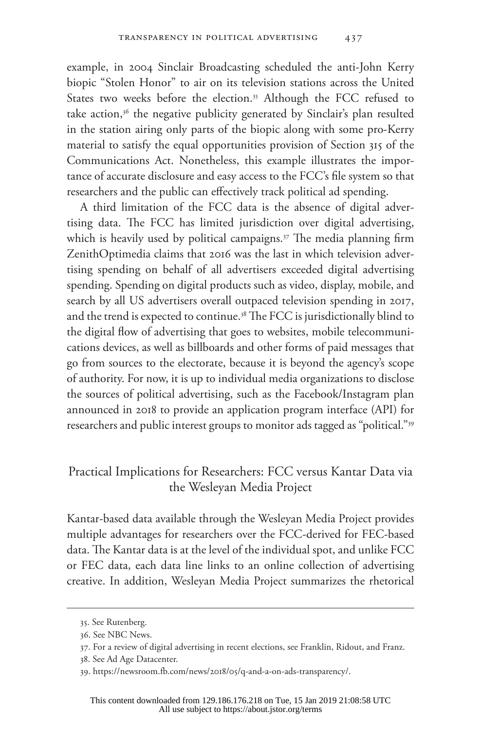example, in 2004 Sinclair Broadcasting scheduled the anti-John Kerry biopic "Stolen Honor" to air on its television stations across the United States two weeks before the election.<sup>35</sup> Although the FCC refused to take action, $36$  the negative publicity generated by Sinclair's plan resulted in the station airing only parts of the biopic along with some pro-Kerry material to satisfy the equal opportunities provision of Section 315 of the Communications Act. Nonetheless, this example illustrates the importance of accurate disclosure and easy access to the FCC's file system so that researchers and the public can effectively track political ad spending.

A third limitation of the FCC data is the absence of digital advertising data. The FCC has limited jurisdiction over digital advertising, which is heavily used by political campaigns.<sup>37</sup> The media planning firm ZenithOptimedia claims that 2016 was the last in which television advertising spending on behalf of all advertisers exceeded digital advertising spending. Spending on digital products such as video, display, mobile, and search by all US advertisers overall outpaced television spending in 2017, and the trend is expected to continue.<sup>38</sup> The FCC is jurisdictionally blind to the digital flow of advertising that goes to websites, mobile telecommunications devices, as well as billboards and other forms of paid messages that go from sources to the electorate, because it is beyond the agency's scope of authority. For now, it is up to individual media organizations to disclose the sources of political advertising, such as the Facebook/Instagram plan announced in 2018 to provide an application program interface (API) for researchers and public interest groups to monitor ads tagged as "political."39

## Practical Implications for Researchers: FCC versus Kantar Data via the Wesleyan Media Project

Kantar-based data available through the Wesleyan Media Project provides multiple advantages for researchers over the FCC-derived for FEC-based data. The Kantar data is at the level of the individual spot, and unlike FCC or FEC data, each data line links to an online collection of advertising creative. In addition, Wesleyan Media Project summarizes the rhetorical

<sup>35.</sup> See Rutenberg.

<sup>36.</sup> See NBC News.

<sup>37.</sup> For a review of digital advertising in recent elections, see Franklin, Ridout, and Franz.

<sup>38.</sup> See Ad Age Datacenter.

<sup>39.</sup> https://newsroom.fb.com/news/2018/05/q-and-a-on-ads-transparency/.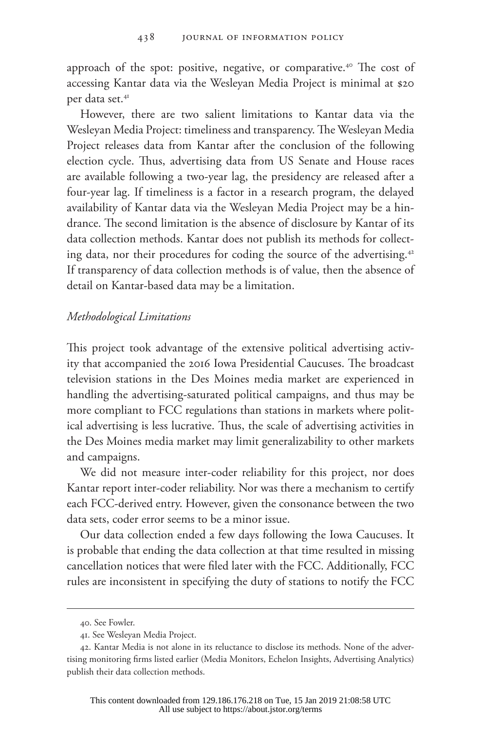approach of the spot: positive, negative, or comparative.40 The cost of accessing Kantar data via the Wesleyan Media Project is minimal at \$20 per data set.<sup>41</sup>

However, there are two salient limitations to Kantar data via the Wesleyan Media Project: timeliness and transparency. The Wesleyan Media Project releases data from Kantar after the conclusion of the following election cycle. Thus, advertising data from US Senate and House races are available following a two-year lag, the presidency are released after a four-year lag. If timeliness is a factor in a research program, the delayed availability of Kantar data via the Wesleyan Media Project may be a hindrance. The second limitation is the absence of disclosure by Kantar of its data collection methods. Kantar does not publish its methods for collecting data, nor their procedures for coding the source of the advertising.42 If transparency of data collection methods is of value, then the absence of detail on Kantar-based data may be a limitation.

#### *Methodological Limitations*

This project took advantage of the extensive political advertising activity that accompanied the 2016 Iowa Presidential Caucuses. The broadcast television stations in the Des Moines media market are experienced in handling the advertising-saturated political campaigns, and thus may be more compliant to FCC regulations than stations in markets where political advertising is less lucrative. Thus, the scale of advertising activities in the Des Moines media market may limit generalizability to other markets and campaigns.

We did not measure inter-coder reliability for this project, nor does Kantar report inter-coder reliability. Nor was there a mechanism to certify each FCC-derived entry. However, given the consonance between the two data sets, coder error seems to be a minor issue.

Our data collection ended a few days following the Iowa Caucuses. It is probable that ending the data collection at that time resulted in missing cancellation notices that were filed later with the FCC. Additionally, FCC rules are inconsistent in specifying the duty of stations to notify the FCC

<sup>40.</sup> See Fowler.

<sup>41.</sup> See Wesleyan Media Project.

<sup>42.</sup> Kantar Media is not alone in its reluctance to disclose its methods. None of the advertising monitoring firms listed earlier (Media Monitors, Echelon Insights, Advertising Analytics) publish their data collection methods.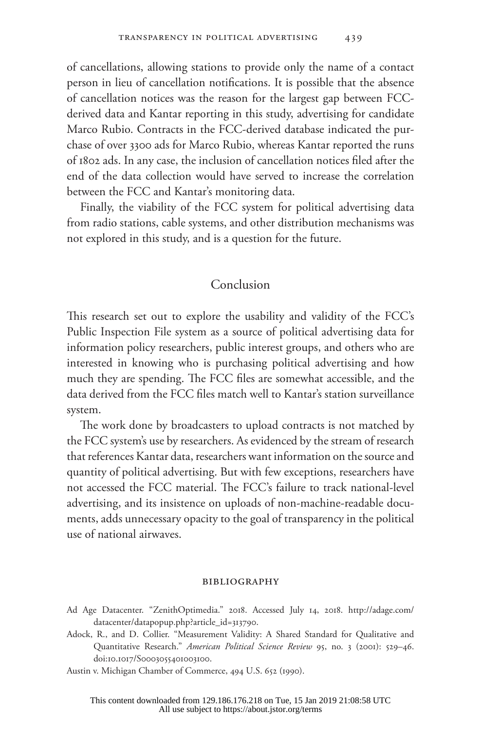of cancellations, allowing stations to provide only the name of a contact person in lieu of cancellation notifications. It is possible that the absence of cancellation notices was the reason for the largest gap between FCCderived data and Kantar reporting in this study, advertising for candidate Marco Rubio. Contracts in the FCC-derived database indicated the purchase of over 3300 ads for Marco Rubio, whereas Kantar reported the runs of 1802 ads. In any case, the inclusion of cancellation notices filed after the end of the data collection would have served to increase the correlation between the FCC and Kantar's monitoring data.

Finally, the viability of the FCC system for political advertising data from radio stations, cable systems, and other distribution mechanisms was not explored in this study, and is a question for the future.

### Conclusion

This research set out to explore the usability and validity of the FCC's Public Inspection File system as a source of political advertising data for information policy researchers, public interest groups, and others who are interested in knowing who is purchasing political advertising and how much they are spending. The FCC files are somewhat accessible, and the data derived from the FCC files match well to Kantar's station surveillance system.

The work done by broadcasters to upload contracts is not matched by the FCC system's use by researchers. As evidenced by the stream of research that references Kantar data, researchers want information on the source and quantity of political advertising. But with few exceptions, researchers have not accessed the FCC material. The FCC's failure to track national-level advertising, and its insistence on uploads of non-machine-readable documents, adds unnecessary opacity to the goal of transparency in the political use of national airwaves.

#### bibliography

- Ad Age Datacenter. "ZenithOptimedia." 2018. Accessed July 14, 2018. http://adage.com/ datacenter/datapopup.php?article\_id=313790.
- Adock, R., and D. Collier. "Measurement Validity: A Shared Standard for Qualitative and Quantitative Research." *American Political Science Review* 95, no. 3 (2001): 529–46. doi:10.1017/S0003055401003100.

Austin v. Michigan Chamber of Commerce, 494 U.S. 652 (1990).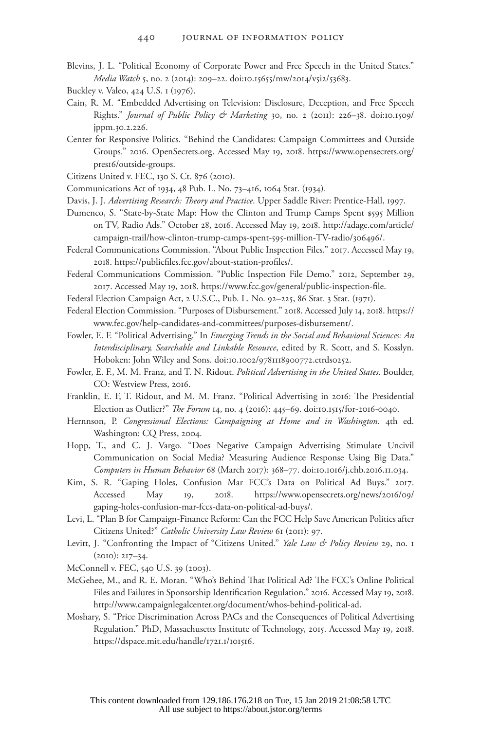- Blevins, J. L. "Political Economy of Corporate Power and Free Speech in the United States." *Media Watch* 5, no. 2 (2014): 209–22. doi:10.15655/mw/2014/v5i2/53683.
- Buckley v. Valeo, 424 U.S. 1 (1976).
- Cain, R. M. "Embedded Advertising on Television: Disclosure, Deception, and Free Speech Rights." *Journal of Public Policy & Marketing* 30, no. 2 (2011): 226–38. doi:10.1509/ jppm.30.2.226.
- Center for Responsive Politics. "Behind the Candidates: Campaign Committees and Outside Groups." 2016. [OpenSecrets.org.](www.OpenSecrets.org) Accessed May 19, 2018. [https://www.opensecrets.org/](https://www.opensecrets.org/pres16/outside-groups) [pres16/outside-groups.](https://www.opensecrets.org/pres16/outside-groups)
- Citizens United v. FEC, 130 S. Ct. 876 (2010).
- Communications Act of 1934, 48 Pub. L. No. 73–416, 1064 Stat. (1934).
- Davis, J. J. *Advertising Research: Theory and Practice*. Upper Saddle River: Prentice-Hall, 1997.
- Dumenco, S. "State-by-State Map: How the Clinton and Trump Camps Spent \$595 Million on TV, Radio Ads." October 28, 2016. Accessed May 19, 2018. [http://adage.com/article/](http://adage.com/article/campaign-trail/how-clinton-trump-camps-spent-595-million-TV-radio/306496/) [campaign-trail/how-clinton-trump-camps-spent-595-million-TV-radio/306496/.](http://adage.com/article/campaign-trail/how-clinton-trump-camps-spent-595-million-TV-radio/306496/)
- Federal Communications Commission. "About Public Inspection Files." 2017. Accessed May 19, 2018. https://publicfiles.fcc.gov/about-station-profiles/.

Federal Communications Commission. "Public Inspection File Demo." 2012, September 29, 2017. Accessed May 19, 2018. https://www.fcc.gov/general/public-inspection-file.

- Federal Election Campaign Act, 2 U.S.C., Pub. L. No. 92-225, 86 Stat. 3 Stat. (1971).
- Federal Election Commission. "Purposes of Disbursement." 2018. Accessed July 14, 2018. https:// www.fec.gov/help-candidates-and-committees/purposes-disbursement/.
- Fowler, E. F. "Political Advertising." In *Emerging Trends in the Social and Behavioral Sciences: An Interdisciplinary, Searchable and Linkable Resource*, edited by R. Scott, and S. Kosslyn. Hoboken: John Wiley and Sons. doi:10.1002/9781118900772.etrds0252.
- Fowler, E. F., M. M. Franz, and T. N. Ridout. *Political Advertising in the United States*. Boulder, CO: Westview Press, 2016.
- Franklin, E. F, T. Ridout, and M. M. Franz. "Political Advertising in 2016: The Presidential Election as Outlier?" *The Forum* 14, no. 4 (2016): 445–69. doi:10.1515/for-2016-0040.
- Hernnson, P. *Congressional Elections: Campaigning at Home and in Washington*. 4th ed. Washington: CQ Press, 2004.
- Hopp, T., and C. J. Vargo. "Does Negative Campaign Advertising Stimulate Uncivil Communication on Social Media? Measuring Audience Response Using Big Data." *Computers in Human Behavior* 68 (March 2017): 368–77. doi:10.1016/j.chb.2016.11.034.
- Kim, S. R. "Gaping Holes, Confusion Mar FCC's Data on Political Ad Buys." 2017. Accessed May 19, 2018. [https://www.opensecrets.org/news/2016/09/](https://www.opensecrets.org/news/2016/09/gaping-holes-confusion-mar-fccs-data-on-political-ad-buys/) [gaping-holes-confusion-mar-fccs-data-on-political-ad-buys/.](https://www.opensecrets.org/news/2016/09/gaping-holes-confusion-mar-fccs-data-on-political-ad-buys/)
- Levi, L. "Plan B for Campaign-Finance Reform: Can the FCC Help Save American Politics after Citizens United?" *Catholic University Law Review* 61 (2011): 97.
- Levitt, J. "Confronting the Impact of "Citizens United." *Yale Law & Policy Review* 29, no. 1 (2010): 217–34.
- McConnell v. FEC, 540 U.S. 39 (2003).
- McGehee, M., and R. E. Moran. "Who's Behind That Political Ad? The FCC's Online Political Files and Failures in Sponsorship Identification Regulation." 2016. Accessed May 19, 2018. http://www.campaignlegalcenter.org/document/whos-behind-political-ad.
- Moshary, S. "Price Discrimination Across PACs and the Consequences of Political Advertising Regulation." PhD, Massachusetts Institute of Technology, 2015. Accessed May 19, 2018. https://dspace.mit.edu/handle/1721.1/101516.